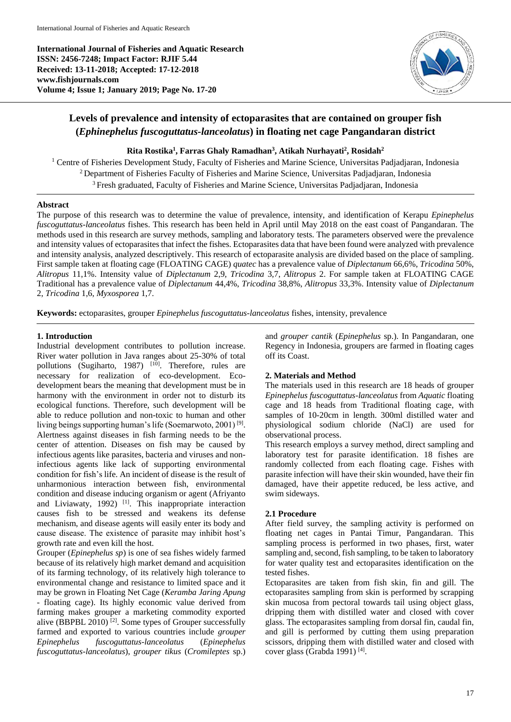**International Journal of Fisheries and Aquatic Research ISSN: 2456-7248; Impact Factor: RJIF 5.44 Received: 13-11-2018; Accepted: 17-12-2018 www.fishjournals.com Volume 4; Issue 1; January 2019; Page No. 17-20**



# **Levels of prevalence and intensity of ectoparasites that are contained on grouper fish (***Ephinephelus fuscoguttatus-lanceolatus***) in floating net cage Pangandaran district**

**Rita Rostika<sup>1</sup> , Farras Ghaly Ramadhan<sup>3</sup> , Atikah Nurhayati<sup>2</sup> , Rosidah<sup>2</sup>**

<sup>1</sup> Centre of Fisheries Development Study, Faculty of Fisheries and Marine Science, Universitas Padjadjaran, Indonesia <sup>2</sup> Department of Fisheries Faculty of Fisheries and Marine Science, Universitas Padjadjaran, Indonesia <sup>3</sup> Fresh graduated, Faculty of Fisheries and Marine Science, Universitas Padjadjaran, Indonesia

# **Abstract**

The purpose of this research was to determine the value of prevalence, intensity, and identification of Kerapu *Epinephelus fuscoguttatus-lanceolatus* fishes. This research has been held in April until May 2018 on the east coast of Pangandaran. The methods used in this research are survey methods, sampling and laboratory tests. The parameters observed were the prevalence and intensity values of ectoparasites that infect the fishes. Ectoparasites data that have been found were analyzed with prevalence and intensity analysis, analyzed descriptively. This research of ectoparasite analysis are divided based on the place of sampling. First sample taken at floating cage (FLOATING CAGE) *quatec* has a prevalence value of *Diplectanum* 66,6%, *Tricodina* 50%, *Alitropus* 11,1%. Intensity value of *Diplectanum* 2,9, *Tricodina* 3,7, *Alitropus* 2. For sample taken at FLOATING CAGE Traditional has a prevalence value of *Diplectanum* 44,4%, *Tricodina* 38,8%, *Alitropus* 33,3%. Intensity value of *Diplectanum*  2, *Tricodina* 1,6, *Myxosporea* 1,7.

**Keywords:** ectoparasites, grouper *Epinephelus fuscoguttatus-lanceolatus* fishes, intensity, prevalence

# **1. Introduction**

Industrial development contributes to pollution increase. River water pollution in Java ranges about 25-30% of total pollutions (Sugiharto, 1987)  $[10]$ . Therefore, rules are necessary for realization of eco-development. Ecodevelopment bears the meaning that development must be in harmony with the environment in order not to disturb its ecological functions. Therefore, such development will be able to reduce pollution and non-toxic to human and other living beings supporting human's life (Soemarwoto, 2001)<sup>[9]</sup>. Alertness against diseases in fish farming needs to be the center of attention. Diseases on fish may be caused by infectious agents like parasites, bacteria and viruses and noninfectious agents like lack of supporting environmental condition for fish's life. An incident of disease is the result of unharmonious interaction between fish, environmental condition and disease inducing organism or agent (Afriyanto and Liviawaty, 1992)<sup>[1]</sup>. This inappropriate interaction causes fish to be stressed and weakens its defense mechanism, and disease agents will easily enter its body and cause disease. The existence of parasite may inhibit host's growth rate and even kill the host.

Grouper (*Epinephelus sp*) is one of sea fishes widely farmed because of its relatively high market demand and acquisition of its farming technology, of its relatively high tolerance to environmental change and resistance to limited space and it may be grown in Floating Net Cage (*Keramba Jaring Apung* - floating cage). Its highly economic value derived from farming makes grouper a marketing commodity exported alive (BBPBL 2010)<sup>[2]</sup>. Some types of Grouper successfully farmed and exported to various countries include *grouper Epinephelus fuscoguttatus-lanceolatus* (*Epinephelus fuscoguttatus-lanceolatus*), *grouper tikus* (*Cromileptes* sp.)

and *grouper cantik* (*Epinephelus* sp.). In Pangandaran, one Regency in Indonesia, groupers are farmed in floating cages off its Coast.

# **2. Materials and Method**

The materials used in this research are 18 heads of grouper *Epinephelus fuscoguttatus-lanceolatus* from *Aquatic* floating cage and 18 heads from Traditional floating cage, with samples of 10-20cm in length. 300ml distilled water and physiological sodium chloride (NaCl) are used for observational process.

This research employs a survey method, direct sampling and laboratory test for parasite identification. 18 fishes are randomly collected from each floating cage. Fishes with parasite infection will have their skin wounded, have their fin damaged, have their appetite reduced, be less active, and swim sideways.

# **2.1 Procedure**

After field survey, the sampling activity is performed on floating net cages in Pantai Timur, Pangandaran. This sampling process is performed in two phases, first, water sampling and, second, fish sampling, to be taken to laboratory for water quality test and ectoparasites identification on the tested fishes.

Ectoparasites are taken from fish skin, fin and gill. The ectoparasites sampling from skin is performed by scrapping skin mucosa from pectoral towards tail using object glass, dripping them with distilled water and closed with cover glass. The ectoparasites sampling from dorsal fin, caudal fin, and gill is performed by cutting them using preparation scissors, dripping them with distilled water and closed with cover glass (Grabda 1991)<sup>[4]</sup>.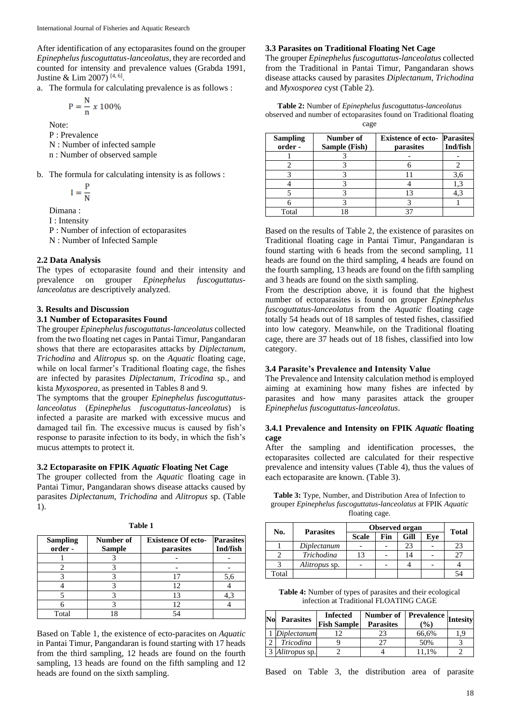After identification of any ectoparasites found on the grouper *Epinephelus fuscoguttatus-lanceolatus*, they are recorded and counted for intensity and prevalence values (Grabda 1991, Justine & Lim 2007)<sup>[4, 6]</sup>.

a. The formula for calculating prevalence is as follows :

$$
P = \frac{N}{n} \times 100\%
$$

Note:

P : Prevalence

N : Number of infected sample

n : Number of observed sample

b. The formula for calculating intensity is as follows :

$$
I = \frac{P}{N}
$$

Dimana :

I : Intensity

P : Number of infection of ectoparasites

N : Number of Infected Sample

## **2.2 Data Analysis**

The types of ectoparasite found and their intensity and prevalence on grouper *Epinephelus fuscoguttatuslanceolatus* are descriptively analyzed.

#### **3. Results and Discussion**

### **3.1 Number of Ectoparasites Found**

The grouper *Epinephelus fuscoguttatus-lanceolatus* collected from the two floating net cages in Pantai Timur, Pangandaran shows that there are ectoparasites attacks by *Diplectanum*, *Trichodina* and *Alitropus* sp. on the *Aquatic* floating cage, while on local farmer's Traditional floating cage, the fishes are infected by parasites *Diplectanum, Tricodina* sp*.,* and kista *Myxosporea*, as presented in Tables 8 and 9.

The symptoms that the grouper *Epinephelus fuscoguttatuslanceolatus* (*Epinephelus fuscoguttatus-lanceolatus*) is infected a parasite are marked with excessive mucus and damaged tail fin. The excessive mucus is caused by fish's response to parasite infection to its body, in which the fish's mucus attempts to protect it.

#### **3.2 Ectoparasite on FPIK** *Aquatic* **Floating Net Cage**

The grouper collected from the *Aquatic* floating cage in Pantai Timur, Pangandaran shows disease attacks caused by parasites *Diplectanum*, *Trichodina* and *Alitropus* sp. (Table 1).

| <b>Sampling</b><br>order- | Number of<br><b>Sample</b> | <b>Existence Of ecto-</b><br>parasites | <b>Parasites</b><br>Ind/fish |
|---------------------------|----------------------------|----------------------------------------|------------------------------|
|                           |                            |                                        |                              |
|                           |                            |                                        |                              |
|                           |                            |                                        | 5,6                          |
|                           |                            | 12                                     |                              |
|                           |                            | 13                                     |                              |
|                           |                            | 12                                     |                              |
| Total                     |                            |                                        |                              |

**Table 1**

Based on Table 1, the existence of ecto-paracites on *Aquatic* in Pantai Timur, Pangandaran is found starting with 17 heads from the third sampling, 12 heads are found on the fourth sampling, 13 heads are found on the fifth sampling and 12 heads are found on the sixth sampling.

#### **3.3 Parasites on Traditional Floating Net Cage**

The grouper *Epinephelus fuscoguttatus-lanceolatus* collected from the Traditional in Pantai Timur, Pangandaran shows disease attacks caused by parasites *Diplectanum*, *Trichodina* and *Myxosporea* cyst (Table 2).

**Table 2:** Number of *Epinephelus fuscoguttatus-lanceolatus* observed and number of ectoparasites found on Traditional floating cage

| <b>Sampling</b><br>order - | Number of<br>Sample (Fish) | <b>Existence of ecto- Parasites</b><br>parasites | Ind/fish |
|----------------------------|----------------------------|--------------------------------------------------|----------|
|                            |                            |                                                  |          |
|                            |                            |                                                  |          |
|                            |                            |                                                  | 3.6      |
|                            |                            |                                                  |          |
|                            |                            |                                                  | 4.3      |
|                            |                            |                                                  |          |
| Total                      |                            |                                                  |          |

Based on the results of Table 2, the existence of parasites on Traditional floating cage in Pantai Timur, Pangandaran is found starting with 6 heads from the second sampling, 11 heads are found on the third sampling, 4 heads are found on the fourth sampling, 13 heads are found on the fifth sampling and 3 heads are found on the sixth sampling.

From the description above, it is found that the highest number of ectoparasites is found on grouper *Epinephelus fuscoguttatus-lanceolatus* from the *Aquatic* floating cage totally 54 heads out of 18 samples of tested fishes, classified into low category. Meanwhile, on the Traditional floating cage, there are 37 heads out of 18 fishes, classified into low category.

#### **3.4 Parasite's Prevalence and Intensity Value**

The Prevalence and Intensity calculation method is employed aiming at examining how many fishes are infected by parasites and how many parasites attack the grouper *Epinephelus fuscoguttatus-lanceolatus*.

#### **3.4.1 Prevalence and Intensity on FPIK** *Aquatic* **floating cage**

After the sampling and identification processes, the ectoparasites collected are calculated for their respective prevalence and intensity values (Table 4), thus the values of each ectoparasite are known. (Table 3).

**Table 3:** Type, Number, and Distribution Area of Infection to grouper *Epinephelus fuscoguttatus-lanceolatus* at FPIK *Aquatic* floating cage.

| No.   | <b>Parasites</b> | Observed organ |     |      |     | <b>Total</b> |
|-------|------------------|----------------|-----|------|-----|--------------|
|       |                  | <b>Scale</b>   | Fin | Gill | Eve |              |
|       | Diplectanum      |                |     | 23   |     | 23           |
|       | Trichodina       | 13             |     | 14   |     |              |
|       | Alitropus sp.    |                |     |      |     |              |
| Total |                  |                |     |      |     |              |

**Table 4:** Number of types of parasites and their ecological infection at Traditional FLOATING CAGE

| $\bf No$ | <b>Parasites</b> | <b>Infected</b><br><b>Fish Sample</b> | Number of Prevalence Intesity<br><b>Parasites</b> | $\frac{9}{6}$ |     |
|----------|------------------|---------------------------------------|---------------------------------------------------|---------------|-----|
|          | Diplectanum      |                                       | 23                                                | 66.6%         | و.، |
|          | Tricodina        |                                       | רי                                                | 50%           |     |
|          | Alitropus sp.    |                                       |                                                   | $1.1\%$       |     |

Based on Table 3, the distribution area of parasite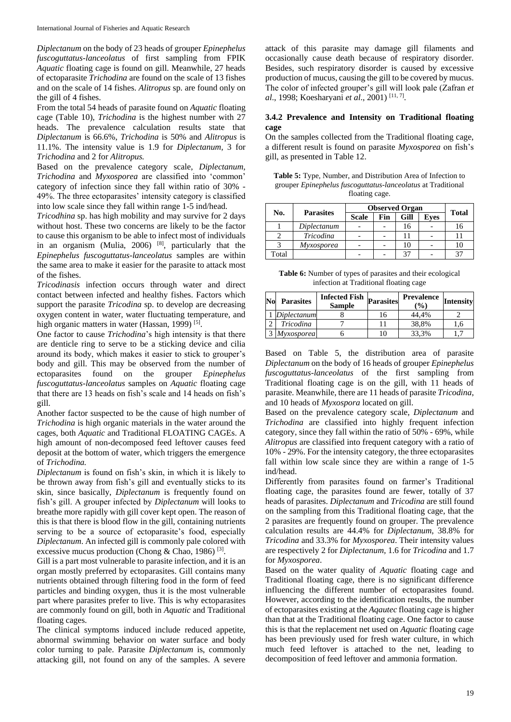*Diplectanum* on the body of 23 heads of grouper *Epinephelus fuscoguttatus-lanceolatus* of first sampling from FPIK *Aquatic* floating cage is found on gill. Meanwhile, 27 heads of ectoparasite *Trichodina* are found on the scale of 13 fishes and on the scale of 14 fishes. *Alitropus* sp. are found only on the gill of 4 fishes.

From the total 54 heads of parasite found on *Aquatic* floating cage (Table 10), *Trichodina* is the highest number with 27 heads. The prevalence calculation results state that *Diplectanum* is 66.6%, *Trichodina* is 50% and *Alitropus* is 11.1%. The intensity value is 1.9 for *Diplectanum,* 3 for *Trichodina* and 2 for *Alitropus.*

Based on the prevalence category scale, *Diplectanum, Trichodina* and *Myxosporea* are classified into 'common' category of infection since they fall within ratio of 30% - 49%. The three ectoparasites' intensity category is classified into low scale since they fall within range 1-5 ind/head.

*Tricodhina* sp. has high mobility and may survive for 2 days without host. These two concerns are likely to be the factor to cause this organism to be able to infect most of individuals in an organism (Mulia, 2006)  $[8]$ , particularly that the *Epinephelus fuscoguttatus-lanceolatus* samples are within the same area to make it easier for the parasite to attack most of the fishes.

*Tricodinasis* infection occurs through water and direct contact between infected and healthy fishes. Factors which support the parasite *Tricodina* sp. to develop are decreasing oxygen content in water, water fluctuating temperature, and high organic matters in water (Hassan, 1999)<sup>[5]</sup>.

One factor to cause *Trichodina*'s high intensity is that there are denticle ring to serve to be a sticking device and cilia around its body, which makes it easier to stick to grouper's body and gill. This may be observed from the number of ectoparasites found on the grouper *Epinephelus fuscoguttatus-lanceolatus* samples on *Aquatic* floating cage that there are 13 heads on fish's scale and 14 heads on fish's gill.

Another factor suspected to be the cause of high number of *Trichodina* is high organic materials in the water around the cages, both *Aquatic* and Traditional FLOATING CAGEs. A high amount of non-decomposed feed leftover causes feed deposit at the bottom of water, which triggers the emergence of *Trichodina.*

*Diplectanum* is found on fish's skin, in which it is likely to be thrown away from fish's gill and eventually sticks to its skin, since basically, *Diplectanum* is frequently found on fish's gill. A grouper infected by *Diplectanum* will looks to breathe more rapidly with gill cover kept open. The reason of this is that there is blood flow in the gill, containing nutrients serving to be a source of ectoparasite's food, especially *Diplectanum*. An infected gill is commonly pale colored with excessive mucus production (Chong & Chao, 1986)<sup>[3]</sup>.

Gill is a part most vulnerable to parasite infection, and it is an organ mostly preferred by ectoparasites. Gill contains many nutrients obtained through filtering food in the form of feed particles and binding oxygen, thus it is the most vulnerable part where parasites prefer to live. This is why ectoparasites are commonly found on gill, both in *Aquatic* and Traditional floating cages.

The clinical symptoms induced include reduced appetite, abnormal swimming behavior on water surface and body color turning to pale. Parasite *Diplectanum* is, commonly attacking gill, not found on any of the samples. A severe

attack of this parasite may damage gill filaments and occasionally cause death because of respiratory disorder. Besides, such respiratory disorder is caused by excessive production of mucus, causing the gill to be covered by mucus. The color of infected grouper's gill will look pale (Zafran *et al*., 1998; Koesharyani *et al*., 2001) [11, 7] .

## **3.4.2 Prevalence and Intensity on Traditional floating cage**

On the samples collected from the Traditional floating cage, a different result is found on parasite *Myxosporea* on fish's gill, as presented in Table 12.

**Table 5:** Type, Number, and Distribution Area of Infection to grouper *Epinephelus fuscoguttatus-lanceolatus* at Traditional floating cage.

| No.   | <b>Parasites</b>  | <b>Observed Organ</b> |     |      |             |              |
|-------|-------------------|-----------------------|-----|------|-------------|--------------|
|       |                   | <b>Scale</b>          | Fin | Gill | <b>Eves</b> | <b>Total</b> |
|       | Diplectanum       |                       |     |      |             | 16           |
|       | <b>Tricodina</b>  |                       |     |      |             |              |
|       | <i>Myxosporea</i> |                       |     |      |             |              |
| Total |                   |                       |     | 27   |             |              |

**Table 6:** Number of types of parasites and their ecological infection at Traditional floating cage

| No | <b>Parasites</b>  | <b>Infected Fish</b><br><b>Sample</b> | <b>Parasites</b> | <b>Prevalence</b><br>$($ %) | <b>Intensity</b> |
|----|-------------------|---------------------------------------|------------------|-----------------------------|------------------|
|    | Diplectanum       |                                       | 16               | 44.4%                       |                  |
|    | Tricodina         |                                       |                  | 38.8%                       | .6               |
|    | <i>Myxosporea</i> |                                       | 10               | 33,3%                       |                  |

Based on Table 5, the distribution area of parasite *Diplectanum* on the body of 16 heads of grouper *Epinephelus fuscoguttatus-lanceolatus* of the first sampling from Traditional floating cage is on the gill, with 11 heads of parasite. Meanwhile, there are 11 heads of parasite *Tricodina*, and 10 heads of *Myxospora* located on gill.

Based on the prevalence category scale, *Diplectanum* and *Trichodina* are classified into highly frequent infection category, since they fall within the ratio of 50% - 69%, while *Alitropus* are classified into frequent category with a ratio of 10% - 29%. For the intensity category, the three ectoparasites fall within low scale since they are within a range of 1-5 ind/head.

Differently from parasites found on farmer's Traditional floating cage, the parasites found are fewer, totally of 37 heads of parasites. *Diplectanum* and *Tricodina* are still found on the sampling from this Traditional floating cage, that the 2 parasites are frequently found on grouper. The prevalence calculation results are 44.4% for *Diplectanum*, 38.8% for *Tricodina* and 33.3% for *Myxosporea*. Their intensity values are respectively 2 for *Diplectanum,* 1.6 for *Tricodina* and 1.7 for *Myxosporea*.

Based on the water quality of *Aquatic* floating cage and Traditional floating cage, there is no significant difference influencing the different number of ectoparasites found. However, according to the identification results, the number of ectoparasites existing at the *Aqautec* floating cage is higher than that at the Traditional floating cage. One factor to cause this is that the replacement net used on *Aquatic* floating cage has been previously used for fresh water culture, in which much feed leftover is attached to the net, leading to decomposition of feed leftover and ammonia formation.